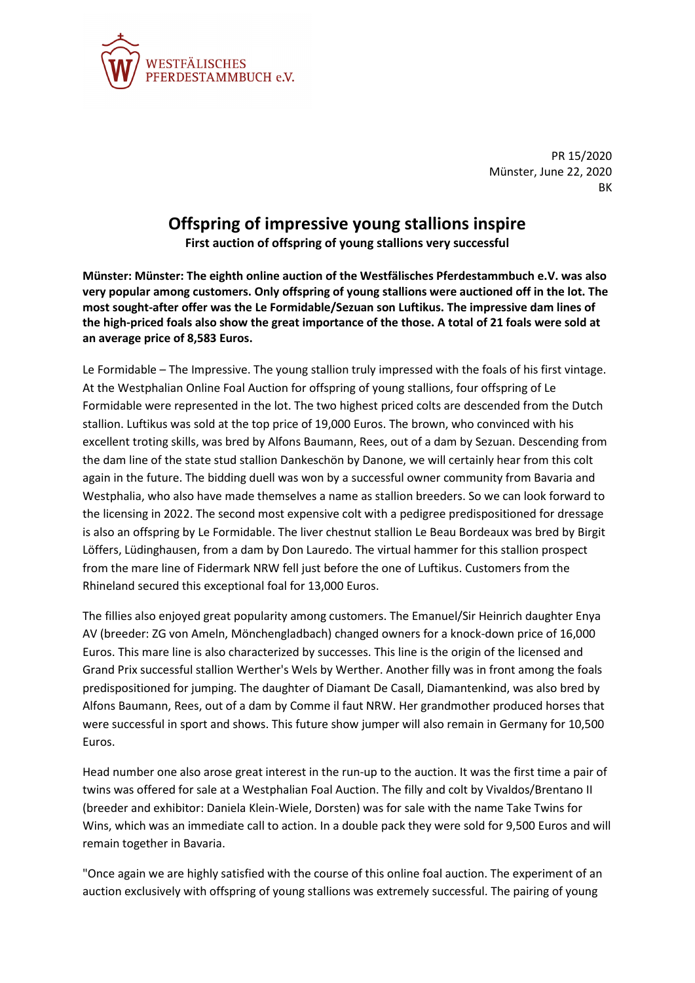

PR 15/2020 Münster, June 22, 2020 **RK** 

## **Offspring of impressive young stallions inspire**

**First auction of offspring of young stallions very successful**

**Münster: Münster: The eighth online auction of the Westfälisches Pferdestammbuch e.V. was also very popular among customers. Only offspring of young stallions were auctioned off in the lot. The most sought-after offer was the Le Formidable/Sezuan son Luftikus. The impressive dam lines of the high-priced foals also show the great importance of the those. A total of 21 foals were sold at an average price of 8,583 Euros.**

Le Formidable – The Impressive. The young stallion truly impressed with the foals of his first vintage. At the Westphalian Online Foal Auction for offspring of young stallions, four offspring of Le Formidable were represented in the lot. The two highest priced colts are descended from the Dutch stallion. Luftikus was sold at the top price of 19,000 Euros. The brown, who convinced with his excellent troting skills, was bred by Alfons Baumann, Rees, out of a dam by Sezuan. Descending from the dam line of the state stud stallion Dankeschön by Danone, we will certainly hear from this colt again in the future. The bidding duell was won by a successful owner community from Bavaria and Westphalia, who also have made themselves a name as stallion breeders. So we can look forward to the licensing in 2022. The second most expensive colt with a pedigree predispositioned for dressage is also an offspring by Le Formidable. The liver chestnut stallion Le Beau Bordeaux was bred by Birgit Löffers, Lüdinghausen, from a dam by Don Lauredo. The virtual hammer for this stallion prospect from the mare line of Fidermark NRW fell just before the one of Luftikus. Customers from the Rhineland secured this exceptional foal for 13,000 Euros.

The fillies also enjoyed great popularity among customers. The Emanuel/Sir Heinrich daughter Enya AV (breeder: ZG von Ameln, Mönchengladbach) changed owners for a knock-down price of 16,000 Euros. This mare line is also characterized by successes. This line is the origin of the licensed and Grand Prix successful stallion Werther's Wels by Werther. Another filly was in front among the foals predispositioned for jumping. The daughter of Diamant De Casall, Diamantenkind, was also bred by Alfons Baumann, Rees, out of a dam by Comme il faut NRW. Her grandmother produced horses that were successful in sport and shows. This future show jumper will also remain in Germany for 10,500 Euros.

Head number one also arose great interest in the run-up to the auction. It was the first time a pair of twins was offered for sale at a Westphalian Foal Auction. The filly and colt by Vivaldos/Brentano II (breeder and exhibitor: Daniela Klein-Wiele, Dorsten) was for sale with the name Take Twins for Wins, which was an immediate call to action. In a double pack they were sold for 9,500 Euros and will remain together in Bavaria.

"Once again we are highly satisfied with the course of this online foal auction. The experiment of an auction exclusively with offspring of young stallions was extremely successful. The pairing of young